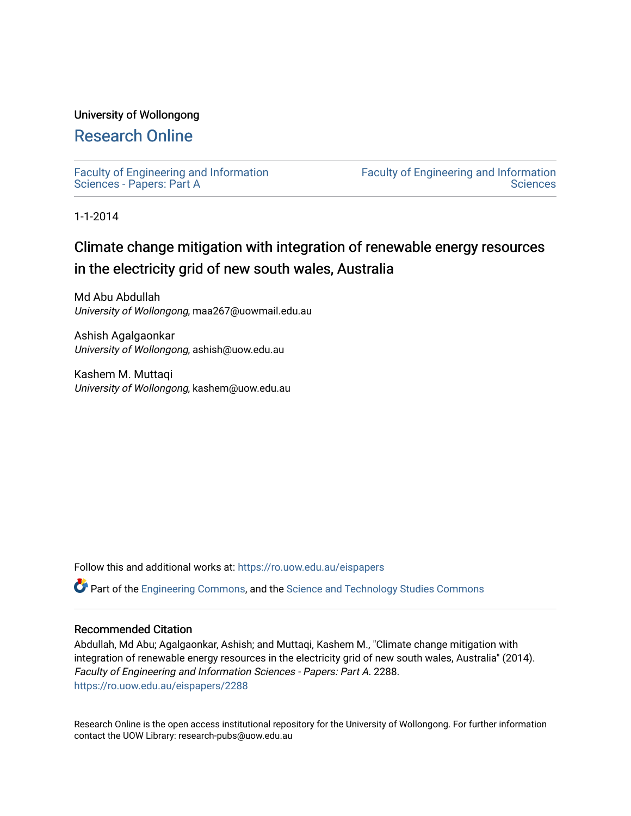## University of Wollongong

# [Research Online](https://ro.uow.edu.au/)

[Faculty of Engineering and Information](https://ro.uow.edu.au/eispapers)  [Sciences - Papers: Part A](https://ro.uow.edu.au/eispapers) 

[Faculty of Engineering and Information](https://ro.uow.edu.au/eis)  **Sciences** 

1-1-2014

# Climate change mitigation with integration of renewable energy resources in the electricity grid of new south wales, Australia

Md Abu Abdullah University of Wollongong, maa267@uowmail.edu.au

Ashish Agalgaonkar University of Wollongong, ashish@uow.edu.au

Kashem M. Muttaqi University of Wollongong, kashem@uow.edu.au

Follow this and additional works at: [https://ro.uow.edu.au/eispapers](https://ro.uow.edu.au/eispapers?utm_source=ro.uow.edu.au%2Feispapers%2F2288&utm_medium=PDF&utm_campaign=PDFCoverPages)

Part of the [Engineering Commons](http://network.bepress.com/hgg/discipline/217?utm_source=ro.uow.edu.au%2Feispapers%2F2288&utm_medium=PDF&utm_campaign=PDFCoverPages), and the [Science and Technology Studies Commons](http://network.bepress.com/hgg/discipline/435?utm_source=ro.uow.edu.au%2Feispapers%2F2288&utm_medium=PDF&utm_campaign=PDFCoverPages)

## Recommended Citation

Abdullah, Md Abu; Agalgaonkar, Ashish; and Muttaqi, Kashem M., "Climate change mitigation with integration of renewable energy resources in the electricity grid of new south wales, Australia" (2014). Faculty of Engineering and Information Sciences - Papers: Part A. 2288. [https://ro.uow.edu.au/eispapers/2288](https://ro.uow.edu.au/eispapers/2288?utm_source=ro.uow.edu.au%2Feispapers%2F2288&utm_medium=PDF&utm_campaign=PDFCoverPages) 

Research Online is the open access institutional repository for the University of Wollongong. For further information contact the UOW Library: research-pubs@uow.edu.au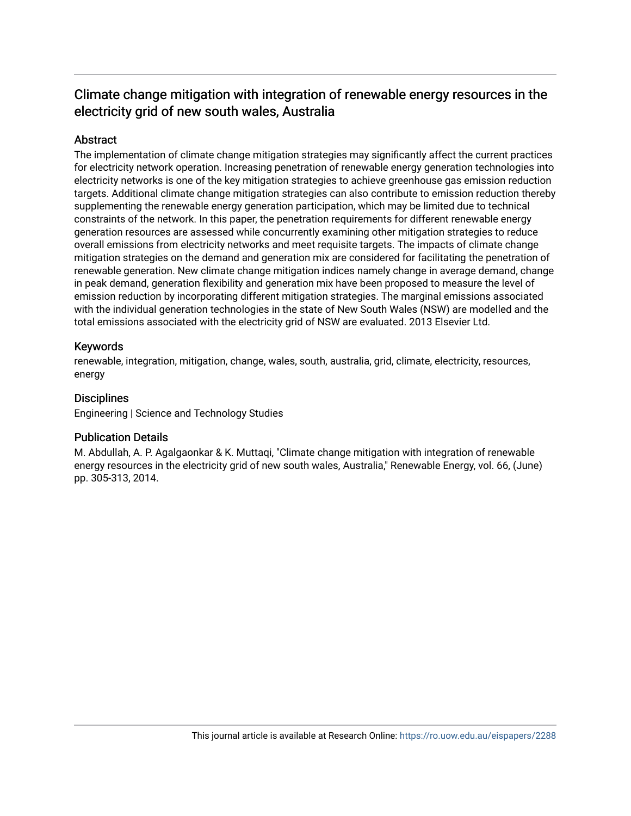## Climate change mitigation with integration of renewable energy resources in the electricity grid of new south wales, Australia

## **Abstract**

The implementation of climate change mitigation strategies may significantly affect the current practices for electricity network operation. Increasing penetration of renewable energy generation technologies into electricity networks is one of the key mitigation strategies to achieve greenhouse gas emission reduction targets. Additional climate change mitigation strategies can also contribute to emission reduction thereby supplementing the renewable energy generation participation, which may be limited due to technical constraints of the network. In this paper, the penetration requirements for different renewable energy generation resources are assessed while concurrently examining other mitigation strategies to reduce overall emissions from electricity networks and meet requisite targets. The impacts of climate change mitigation strategies on the demand and generation mix are considered for facilitating the penetration of renewable generation. New climate change mitigation indices namely change in average demand, change in peak demand, generation flexibility and generation mix have been proposed to measure the level of emission reduction by incorporating different mitigation strategies. The marginal emissions associated with the individual generation technologies in the state of New South Wales (NSW) are modelled and the total emissions associated with the electricity grid of NSW are evaluated. 2013 Elsevier Ltd.

## Keywords

renewable, integration, mitigation, change, wales, south, australia, grid, climate, electricity, resources, energy

## **Disciplines**

Engineering | Science and Technology Studies

## Publication Details

M. Abdullah, A. P. Agalgaonkar & K. Muttaqi, "Climate change mitigation with integration of renewable energy resources in the electricity grid of new south wales, Australia," Renewable Energy, vol. 66, (June) pp. 305-313, 2014.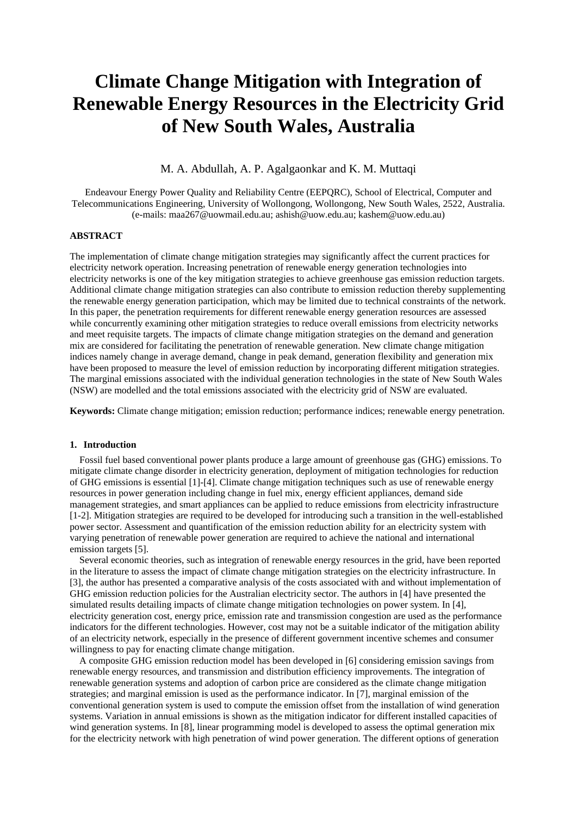# **Climate Change Mitigation with Integration of Renewable Energy Resources in the Electricity Grid of New South Wales, Australia**

M. A. Abdullah, A. P. Agalgaonkar and K. M. Muttaqi

Endeavour Energy Power Quality and Reliability Centre (EEPQRC), School of Electrical, Computer and Telecommunications Engineering, University of Wollongong, Wollongong, New South Wales, 2522, Australia. (e-mails: maa267@uowmail.edu.au; ashish@uow.edu.au; kashem@uow.edu.au)

#### **ABSTRACT**

The implementation of climate change mitigation strategies may significantly affect the current practices for electricity network operation. Increasing penetration of renewable energy generation technologies into electricity networks is one of the key mitigation strategies to achieve greenhouse gas emission reduction targets. Additional climate change mitigation strategies can also contribute to emission reduction thereby supplementing the renewable energy generation participation, which may be limited due to technical constraints of the network. In this paper, the penetration requirements for different renewable energy generation resources are assessed while concurrently examining other mitigation strategies to reduce overall emissions from electricity networks and meet requisite targets. The impacts of climate change mitigation strategies on the demand and generation mix are considered for facilitating the penetration of renewable generation. New climate change mitigation indices namely change in average demand, change in peak demand, generation flexibility and generation mix have been proposed to measure the level of emission reduction by incorporating different mitigation strategies. The marginal emissions associated with the individual generation technologies in the state of New South Wales (NSW) are modelled and the total emissions associated with the electricity grid of NSW are evaluated.

**Keywords:** Climate change mitigation; emission reduction; performance indices; renewable energy penetration.

#### **1. Introduction**

Fossil fuel based conventional power plants produce a large amount of greenhouse gas (GHG) emissions. To mitigate climate change disorder in electricity generation, deployment of mitigation technologies for reduction of GHG emissions is essential [1]-[4]. Climate change mitigation techniques such as use of renewable energy resources in power generation including change in fuel mix, energy efficient appliances, demand side management strategies, and smart appliances can be applied to reduce emissions from electricity infrastructure [1-2]. Mitigation strategies are required to be developed for introducing such a transition in the well-established power sector. Assessment and quantification of the emission reduction ability for an electricity system with varying penetration of renewable power generation are required to achieve the national and international emission targets [5].

Several economic theories, such as integration of renewable energy resources in the grid, have been reported in the literature to assess the impact of climate change mitigation strategies on the electricity infrastructure. In [3], the author has presented a comparative analysis of the costs associated with and without implementation of GHG emission reduction policies for the Australian electricity sector. The authors in [4] have presented the simulated results detailing impacts of climate change mitigation technologies on power system. In [4], electricity generation cost, energy price, emission rate and transmission congestion are used as the performance indicators for the different technologies. However, cost may not be a suitable indicator of the mitigation ability of an electricity network, especially in the presence of different government incentive schemes and consumer willingness to pay for enacting climate change mitigation.

A composite GHG emission reduction model has been developed in [6] considering emission savings from renewable energy resources, and transmission and distribution efficiency improvements. The integration of renewable generation systems and adoption of carbon price are considered as the climate change mitigation strategies; and marginal emission is used as the performance indicator. In [7], marginal emission of the conventional generation system is used to compute the emission offset from the installation of wind generation systems. Variation in annual emissions is shown as the mitigation indicator for different installed capacities of wind generation systems. In [8], linear programming model is developed to assess the optimal generation mix for the electricity network with high penetration of wind power generation. The different options of generation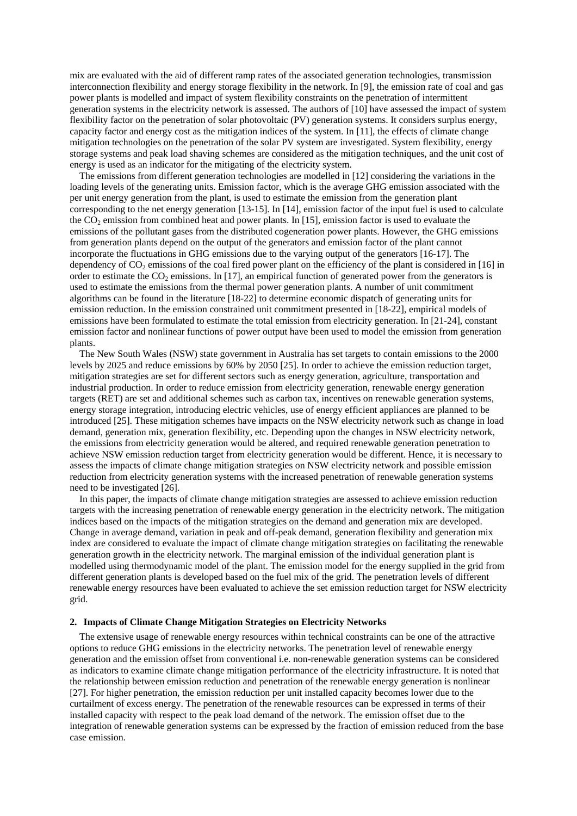mix are evaluated with the aid of different ramp rates of the associated generation technologies, transmission interconnection flexibility and energy storage flexibility in the network. In [9], the emission rate of coal and gas power plants is modelled and impact of system flexibility constraints on the penetration of intermittent generation systems in the electricity network is assessed. The authors of [10] have assessed the impact of system flexibility factor on the penetration of solar photovoltaic (PV) generation systems. It considers surplus energy, capacity factor and energy cost as the mitigation indices of the system. In [11], the effects of climate change mitigation technologies on the penetration of the solar PV system are investigated. System flexibility, energy storage systems and peak load shaving schemes are considered as the mitigation techniques, and the unit cost of energy is used as an indicator for the mitigating of the electricity system.

The emissions from different generation technologies are modelled in [12] considering the variations in the loading levels of the generating units. Emission factor, which is the average GHG emission associated with the per unit energy generation from the plant, is used to estimate the emission from the generation plant corresponding to the net energy generation [13-15]. In [14], emission factor of the input fuel is used to calculate the  $CO<sub>2</sub>$  emission from combined heat and power plants. In [15], emission factor is used to evaluate the emissions of the pollutant gases from the distributed cogeneration power plants. However, the GHG emissions from generation plants depend on the output of the generators and emission factor of the plant cannot incorporate the fluctuations in GHG emissions due to the varying output of the generators [16-17]. The dependency of  $CO_2$  emissions of the coal fired power plant on the efficiency of the plant is considered in [16] in order to estimate the  $CO_2$  emissions. In [17], an empirical function of generated power from the generators is used to estimate the emissions from the thermal power generation plants. A number of unit commitment algorithms can be found in the literature [18-22] to determine economic dispatch of generating units for emission reduction. In the emission constrained unit commitment presented in [18-22], empirical models of emissions have been formulated to estimate the total emission from electricity generation. In [21-24], constant emission factor and nonlinear functions of power output have been used to model the emission from generation plants.

The New South Wales (NSW) state government in Australia has set targets to contain emissions to the 2000 levels by 2025 and reduce emissions by 60% by 2050 [25]. In order to achieve the emission reduction target, mitigation strategies are set for different sectors such as energy generation, agriculture, transportation and industrial production. In order to reduce emission from electricity generation, renewable energy generation targets (RET) are set and additional schemes such as carbon tax, incentives on renewable generation systems, energy storage integration, introducing electric vehicles, use of energy efficient appliances are planned to be introduced [25]. These mitigation schemes have impacts on the NSW electricity network such as change in load demand, generation mix, generation flexibility, etc. Depending upon the changes in NSW electricity network, the emissions from electricity generation would be altered, and required renewable generation penetration to achieve NSW emission reduction target from electricity generation would be different. Hence, it is necessary to assess the impacts of climate change mitigation strategies on NSW electricity network and possible emission reduction from electricity generation systems with the increased penetration of renewable generation systems need to be investigated [26].

In this paper, the impacts of climate change mitigation strategies are assessed to achieve emission reduction targets with the increasing penetration of renewable energy generation in the electricity network. The mitigation indices based on the impacts of the mitigation strategies on the demand and generation mix are developed. Change in average demand, variation in peak and off-peak demand, generation flexibility and generation mix index are considered to evaluate the impact of climate change mitigation strategies on facilitating the renewable generation growth in the electricity network. The marginal emission of the individual generation plant is modelled using thermodynamic model of the plant. The emission model for the energy supplied in the grid from different generation plants is developed based on the fuel mix of the grid. The penetration levels of different renewable energy resources have been evaluated to achieve the set emission reduction target for NSW electricity grid.

#### **2. Impacts of Climate Change Mitigation Strategies on Electricity Networks**

The extensive usage of renewable energy resources within technical constraints can be one of the attractive options to reduce GHG emissions in the electricity networks. The penetration level of renewable energy generation and the emission offset from conventional i.e. non-renewable generation systems can be considered as indicators to examine climate change mitigation performance of the electricity infrastructure. It is noted that the relationship between emission reduction and penetration of the renewable energy generation is nonlinear [27]. For higher penetration, the emission reduction per unit installed capacity becomes lower due to the curtailment of excess energy. The penetration of the renewable resources can be expressed in terms of their installed capacity with respect to the peak load demand of the network. The emission offset due to the integration of renewable generation systems can be expressed by the fraction of emission reduced from the base case emission.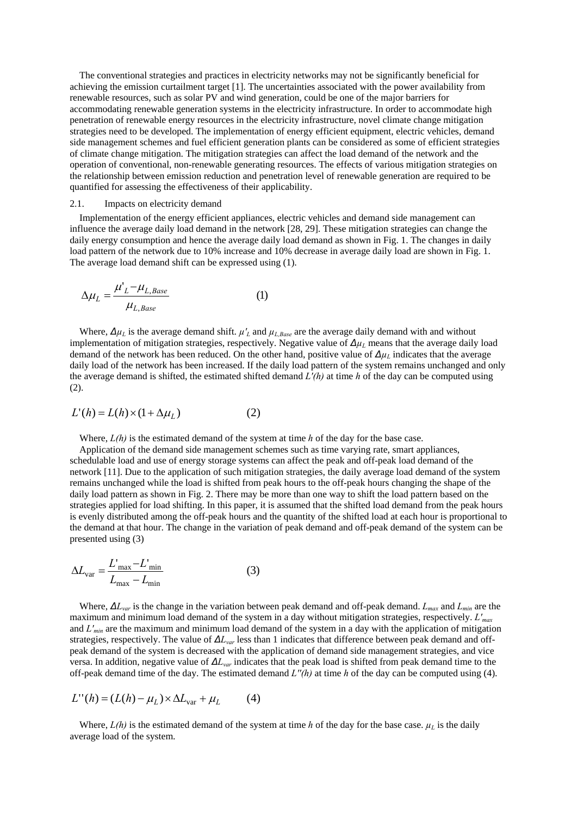The conventional strategies and practices in electricity networks may not be significantly beneficial for achieving the emission curtailment target [1]. The uncertainties associated with the power availability from renewable resources, such as solar PV and wind generation, could be one of the major barriers for accommodating renewable generation systems in the electricity infrastructure. In order to accommodate high penetration of renewable energy resources in the electricity infrastructure, novel climate change mitigation strategies need to be developed. The implementation of energy efficient equipment, electric vehicles, demand side management schemes and fuel efficient generation plants can be considered as some of efficient strategies of climate change mitigation. The mitigation strategies can affect the load demand of the network and the operation of conventional, non-renewable generating resources. The effects of various mitigation strategies on the relationship between emission reduction and penetration level of renewable generation are required to be quantified for assessing the effectiveness of their applicability.

#### 2.1. Impacts on electricity demand

Implementation of the energy efficient appliances, electric vehicles and demand side management can influence the average daily load demand in the network [28, 29]. These mitigation strategies can change the daily energy consumption and hence the average daily load demand as shown in Fig. 1. The changes in daily load pattern of the network due to 10% increase and 10% decrease in average daily load are shown in Fig. 1. The average load demand shift can be expressed using (1).

$$
\Delta \mu_L = \frac{\mu'_L - \mu_{L,Base}}{\mu_{L,Base}} \tag{1}
$$

Where,  $\Delta \mu_L$  is the average demand shift.  $\mu'_L$  and  $\mu_L$ , *Base* are the average daily demand with and without implementation of mitigation strategies, respectively. Negative value of Δ*µ*<sub>L</sub> means that the average daily load demand of the network has been reduced. On the other hand, positive value of  $Δμ<sub>L</sub>$  indicates that the average daily load of the network has been increased. If the daily load pattern of the system remains unchanged and only the average demand is shifted, the estimated shifted demand *L'(h)* at time *h* of the day can be computed using (2).

$$
L'(h) = L(h) \times (1 + \Delta \mu_L)
$$
 (2)

Where,  $L(h)$  is the estimated demand of the system at time *h* of the day for the base case.

Application of the demand side management schemes such as time varying rate, smart appliances, schedulable load and use of energy storage systems can affect the peak and off-peak load demand of the network [11]. Due to the application of such mitigation strategies, the daily average load demand of the system remains unchanged while the load is shifted from peak hours to the off-peak hours changing the shape of the daily load pattern as shown in Fig. 2. There may be more than one way to shift the load pattern based on the strategies applied for load shifting. In this paper, it is assumed that the shifted load demand from the peak hours is evenly distributed among the off-peak hours and the quantity of the shifted load at each hour is proportional to the demand at that hour. The change in the variation of peak demand and off-peak demand of the system can be presented using (3)

$$
\Delta L_{\text{var}} = \frac{L'_{\text{max}} - L'_{\text{min}}}{L_{\text{max}} - L_{\text{min}}}
$$
(3)

Where, *∆Lvar* is the change in the variation between peak demand and off-peak demand. *Lmax* and *Lmin* are the maximum and minimum load demand of the system in a day without mitigation strategies, respectively. *L'max* and *L'<sub>min</sub>* are the maximum and minimum load demand of the system in a day with the application of mitigation strategies, respectively. The value of *∆Lvar* less than 1 indicates that difference between peak demand and offpeak demand of the system is decreased with the application of demand side management strategies, and vice versa. In addition, negative value of *∆Lvar* indicates that the peak load is shifted from peak demand time to the off-peak demand time of the day. The estimated demand *L''(h)* at time *h* of the day can be computed using (4).

$$
L''(h) = (L(h) - \mu_L) \times \Delta L_{var} + \mu_L \tag{4}
$$

Where,  $L(h)$  is the estimated demand of the system at time h of the day for the base case.  $\mu_L$  is the daily average load of the system.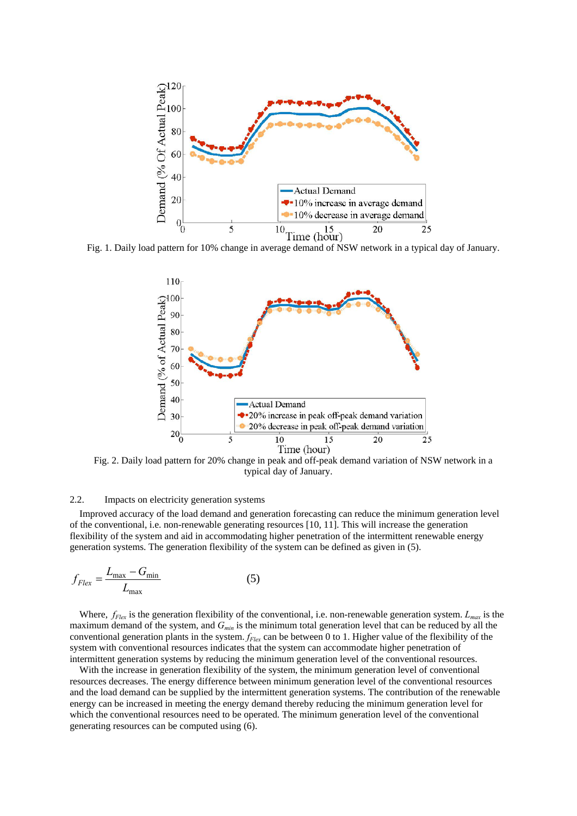

Fig. 1. Daily load pattern for 10% change in average demand of NSW network in a typical day of January.



Fig. 2. Daily load pattern for 20% change in peak and off-peak demand variation of NSW network in a typical day of January.

#### 2.2. Impacts on electricity generation systems

Improved accuracy of the load demand and generation forecasting can reduce the minimum generation level of the conventional, i.e. non-renewable generating resources [10, 11]. This will increase the generation flexibility of the system and aid in accommodating higher penetration of the intermittent renewable energy generation systems. The generation flexibility of the system can be defined as given in (5).

$$
f_{Flex} = \frac{L_{\text{max}} - G_{\text{min}}}{L_{\text{max}}} \tag{5}
$$

Where, *f<sub>Flex</sub>* is the generation flexibility of the conventional, i.e. non-renewable generation system.  $L_{max}$  is the maximum demand of the system, and  $G<sub>min</sub>$  is the minimum total generation level that can be reduced by all the conventional generation plants in the system. *f<sub>Flex</sub>* can be between 0 to 1. Higher value of the flexibility of the system with conventional resources indicates that the system can accommodate higher penetration of intermittent generation systems by reducing the minimum generation level of the conventional resources.

With the increase in generation flexibility of the system, the minimum generation level of conventional resources decreases. The energy difference between minimum generation level of the conventional resources and the load demand can be supplied by the intermittent generation systems. The contribution of the renewable energy can be increased in meeting the energy demand thereby reducing the minimum generation level for which the conventional resources need to be operated. The minimum generation level of the conventional generating resources can be computed using (6).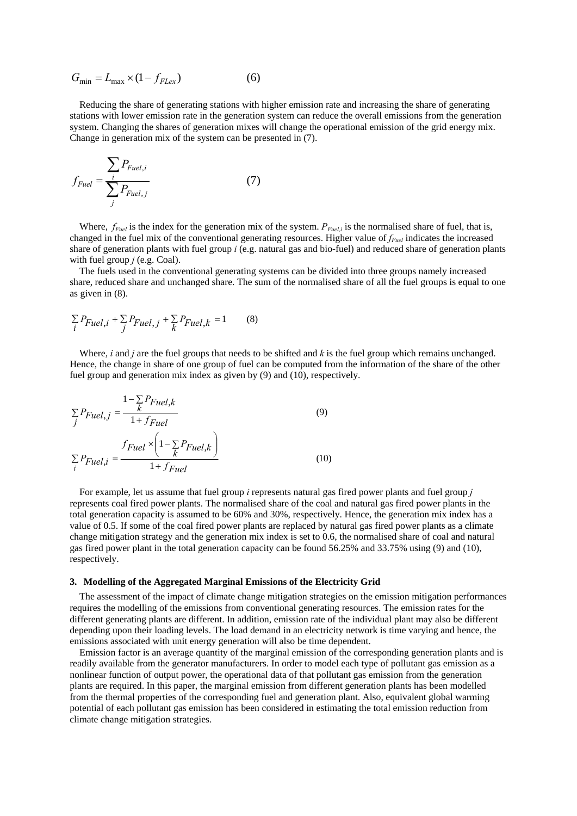$$
G_{\min} = L_{\max} \times (1 - f_{FLex})
$$
 (6)

Reducing the share of generating stations with higher emission rate and increasing the share of generating stations with lower emission rate in the generation system can reduce the overall emissions from the generation system. Changing the shares of generation mixes will change the operational emission of the grid energy mix. Change in generation mix of the system can be presented in (7).

$$
f_{fuel} = \frac{\sum_{i} P_{fuel,i}}{\sum_{j} P_{fuel,j}}
$$
(7)

Where,  $f_{Fuel}$  is the index for the generation mix of the system.  $P_{Fuel,i}$  is the normalised share of fuel, that is, changed in the fuel mix of the conventional generating resources. Higher value of *fFuel* indicates the increased share of generation plants with fuel group *i* (e.g. natural gas and bio-fuel) and reduced share of generation plants with fuel group *j* (e.g. Coal).

The fuels used in the conventional generating systems can be divided into three groups namely increased share, reduced share and unchanged share. The sum of the normalised share of all the fuel groups is equal to one as given in (8).

$$
\sum_{i} P_{fuel,i} + \sum_{j} P_{fuel,j} + \sum_{k} P_{fuel,k} = 1
$$
 (8)

Where, *i* and *j* are the fuel groups that needs to be shifted and *k* is the fuel group which remains unchanged. Hence, the change in share of one group of fuel can be computed from the information of the share of the other fuel group and generation mix index as given by (9) and (10), respectively.

$$
\sum_{j} P_{fuel,j} = \frac{1 - \sum_{k} P_{fuel,k}}{1 + f_{fuel}}
$$
\n
$$
\sum_{i} P_{fuel,i} = \frac{f_{fuel} \times \left(1 - \sum_{k} P_{fuel,k}\right)}{1 + f_{fuel}}
$$
\n(10)

For example, let us assume that fuel group *i* represents natural gas fired power plants and fuel group *j* represents coal fired power plants. The normalised share of the coal and natural gas fired power plants in the total generation capacity is assumed to be 60% and 30%, respectively. Hence, the generation mix index has a value of 0.5. If some of the coal fired power plants are replaced by natural gas fired power plants as a climate change mitigation strategy and the generation mix index is set to 0.6, the normalised share of coal and natural gas fired power plant in the total generation capacity can be found 56.25% and 33.75% using (9) and (10), respectively.

#### **3. Modelling of the Aggregated Marginal Emissions of the Electricity Grid**

The assessment of the impact of climate change mitigation strategies on the emission mitigation performances requires the modelling of the emissions from conventional generating resources. The emission rates for the different generating plants are different. In addition, emission rate of the individual plant may also be different depending upon their loading levels. The load demand in an electricity network is time varying and hence, the emissions associated with unit energy generation will also be time dependent.

Emission factor is an average quantity of the marginal emission of the corresponding generation plants and is readily available from the generator manufacturers. In order to model each type of pollutant gas emission as a nonlinear function of output power, the operational data of that pollutant gas emission from the generation plants are required. In this paper, the marginal emission from different generation plants has been modelled from the thermal properties of the corresponding fuel and generation plant. Also, equivalent global warming potential of each pollutant gas emission has been considered in estimating the total emission reduction from climate change mitigation strategies.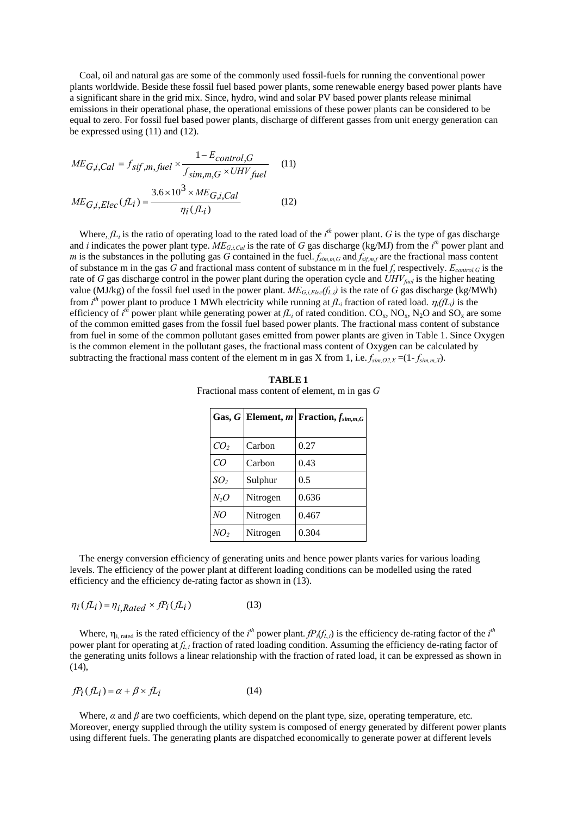Coal, oil and natural gas are some of the commonly used fossil-fuels for running the conventional power plants worldwide. Beside these fossil fuel based power plants, some renewable energy based power plants have a significant share in the grid mix. Since, hydro, wind and solar PV based power plants release minimal emissions in their operational phase, the operational emissions of these power plants can be considered to be equal to zero. For fossil fuel based power plants, discharge of different gasses from unit energy generation can be expressed using (11) and (12).

$$
ME_{G,i,Cal} = f_{sif,m,fuel} \times \frac{1 - E_{control,G}}{f_{sim,m,G} \times UHV_{fuel}}
$$
(11)  

$$
ME_{G,i,Elec}(fL_i) = \frac{3.6 \times 10^3 \times ME_{G,i,Cal}}{\eta_i(fL_i)}
$$
(12)

Where,  $fL_i$  is the ratio of operating load to the rated load of the  $i^{th}$  power plant. G is the type of gas discharge and *i* indicates the power plant type.  $ME_{G,i,Cal}$  is the rate of *G* gas discharge (kg/MJ) from the *i*<sup>th</sup> power plant and *m* is the substances in the polluting gas *G* contained in the fuel.  $f_{sim,m,G}$  and  $f_{sif,m,f}$  are the fractional mass content of substance m in the gas *G* and fractional mass content of substance m in the fuel *f*, respectively. *Econtrol,G* is the rate of *G* gas discharge control in the power plant during the operation cycle and *UHVfuel* is the higher heating value (MJ/kg) of the fossil fuel used in the power plant.  $ME_{G,i,Elec}(f_L,j)$  is the rate of *G* gas discharge (kg/MWh) from *i*<sup>th</sup> power plant to produce 1 MWh electricity while running at  $fL_i$  fraction of rated load.  $\eta_i(fL_i)$  is the efficiency of  $i^{th}$  power plant while generating power at  $fL_i$  of rated condition.  $CO_x$ ,  $NO_x$ ,  $N_2O$  and  $SO_x$  are some of the common emitted gases from the fossil fuel based power plants. The fractional mass content of substance from fuel in some of the common pollutant gases emitted from power plants are given in Table 1. Since Oxygen is the common element in the pollutant gases, the fractional mass content of Oxygen can be calculated by subtracting the fractional mass content of the element m in gas X from 1, i.e.  $f_{sim, O2,X}$  =(1- $f_{sim,m,X}$ ).

|                  |          | Gas, G   Element, m   Fraction, $f_{sim,m,G}$ |
|------------------|----------|-----------------------------------------------|
| CO <sub>2</sub>  | Carbon   | 0.27                                          |
| CO               | Carbon   | 0.43                                          |
| SO <sub>2</sub>  | Sulphur  | 0.5                                           |
| N <sub>2</sub> O | Nitrogen | 0.636                                         |
| NO               | Nitrogen | 0.467                                         |
| NO <sub>2</sub>  | Nitrogen | 0.304                                         |

**TABLE 1**  Fractional mass content of element, m in gas *G*

The energy conversion efficiency of generating units and hence power plants varies for various loading levels. The efficiency of the power plant at different loading conditions can be modelled using the rated efficiency and the efficiency de-rating factor as shown in (13).

$$
\eta_i(f_i) = \eta_{i, Rated} \times f_i(f_i)
$$
\n(13)

Where,  $\eta_i$ , rated is the rated efficiency of the *i*<sup>th</sup> power plant. *fP<sub>i</sub>*( $f_L$ ) is the efficiency de-rating factor of the *i*<sup>th</sup> power plant for operating at *fL,i* fraction of rated loading condition. Assuming the efficiency de-rating factor of the generating units follows a linear relationship with the fraction of rated load, it can be expressed as shown in  $(14)$ ,

$$
fP_i(fL_i) = \alpha + \beta \times fL_i \tag{14}
$$

Where,  $\alpha$  and  $\beta$  are two coefficients, which depend on the plant type, size, operating temperature, etc. Moreover, energy supplied through the utility system is composed of energy generated by different power plants using different fuels. The generating plants are dispatched economically to generate power at different levels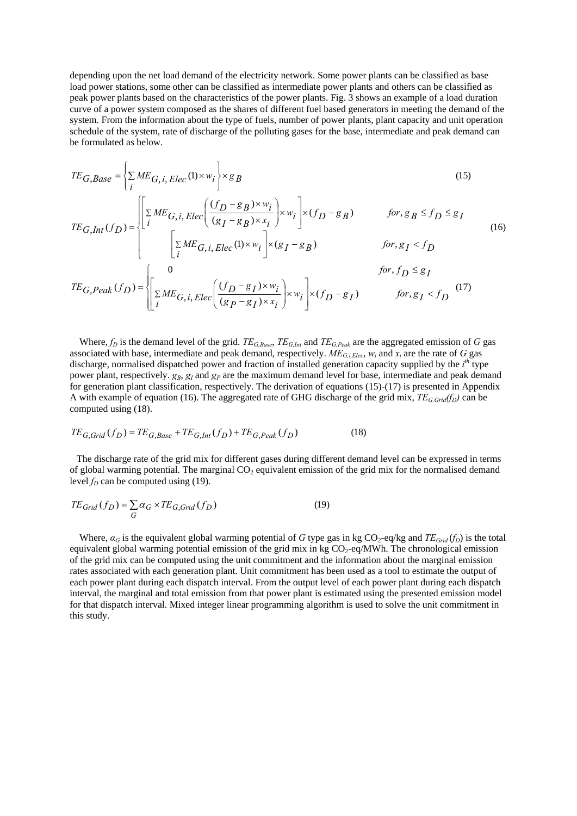depending upon the net load demand of the electricity network. Some power plants can be classified as base load power stations, some other can be classified as intermediate power plants and others can be classified as peak power plants based on the characteristics of the power plants. Fig. 3 shows an example of a load duration curve of a power system composed as the shares of different fuel based generators in meeting the demand of the system. From the information about the type of fuels, number of power plants, plant capacity and unit operation schedule of the system, rate of discharge of the polluting gases for the base, intermediate and peak demand can be formulated as below.

$$
TE_{G,Base} = \left\{ \sum_{i} ME_{G,i, Elec} (1) \times w_{i} \right\} \times g_{B}
$$
\n
$$
TE_{G,Int}(f_{D}) = \begin{cases} \left[ \sum_{i} ME_{G,i, Elec} \left( \frac{(f_{D} - g_{B}) \times w_{i}}{(g_{I} - g_{B}) \times x_{i}} \right) \times (f_{D} - g_{B}) & \text{for}, g_{B} \le f_{D} \le g_{I} \right] \\ \left[ \sum_{i} ME_{G,i, Elec} (1) \times w_{i} \right] \times (g_{I} - g_{B}) & \text{for}, g_{I} < f_{D} \end{cases}
$$
\n
$$
TE_{G,Peak}(f_{D}) = \begin{cases} 0 & \text{for}, f_{D} \le g_{I} \\ \left[ \sum_{i} ME_{G,i, Elec} \left( \frac{(f_{D} - g_{I}) \times w_{i}}{(g_{P} - g_{I}) \times x_{i}} \right) \times w_{i} \right] \times (f_{D} - g_{I}) & \text{for}, g_{I} < f_{D} \end{cases}
$$
\n
$$
(15)
$$

Where,  $f_D$  is the demand level of the grid. *TE<sub>G,Base</sub>*, *TE<sub>G,Int</sub>* and *TE<sub>G,Peak</sub>* are the aggregated emission of *G* gas associated with base, intermediate and peak demand, respectively.  $ME_{G,iElec}$ ,  $w_i$  and  $x_i$  are the rate of *G* gas discharge, normalised dispatched power and fraction of installed generation capacity supplied by the *i*<sup>th</sup> type power plant, respectively.  $g_B$ ,  $g_I$  and  $g_P$  are the maximum demand level for base, intermediate and peak demand for generation plant classification, respectively. The derivation of equations (15)-(17) is presented in Appendix A with example of equation (16). The aggregated rate of GHG discharge of the grid mix,  $TE_{G,Grid}(f_D)$  can be computed using (18).

$$
TE_{G,Grid}(f_D) = TE_{G,Base} + TE_{G,Int}(f_D) + TE_{G,Peak}(f_D)
$$
\n(18)

The discharge rate of the grid mix for different gases during different demand level can be expressed in terms of global warming potential. The marginal  $CO<sub>2</sub>$  equivalent emission of the grid mix for the normalised demand level  $f_D$  can be computed using (19).

$$
TE_{Grid}(f_D) = \sum_{G} \alpha_G \times TE_{G,Grid}(f_D)
$$
\n(19)

Where,  $a_G$  is the equivalent global warming potential of *G* type gas in kg CO<sub>2</sub>-eq/kg and  $TE_{Grid}(f_D)$  is the total equivalent global warming potential emission of the grid mix in kg  $CO<sub>2</sub>$ -eq/MWh. The chronological emission of the grid mix can be computed using the unit commitment and the information about the marginal emission rates associated with each generation plant. Unit commitment has been used as a tool to estimate the output of each power plant during each dispatch interval. From the output level of each power plant during each dispatch interval, the marginal and total emission from that power plant is estimated using the presented emission model for that dispatch interval. Mixed integer linear programming algorithm is used to solve the unit commitment in this study.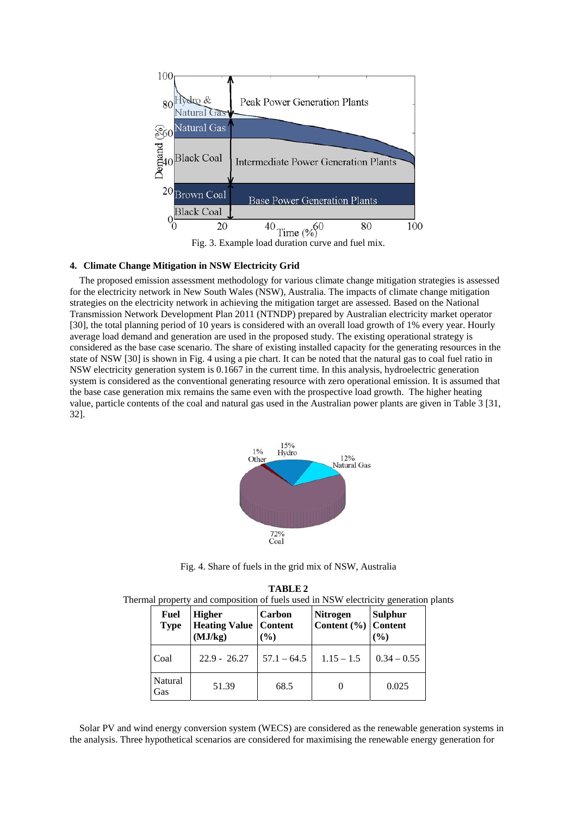

Fig. 3. Example load duration curve and fuel mix.

#### **4. Climate Change Mitigation in NSW Electricity Grid**

The proposed emission assessment methodology for various climate change mitigation strategies is assessed for the electricity network in New South Wales (NSW), Australia. The impacts of climate change mitigation strategies on the electricity network in achieving the mitigation target are assessed. Based on the National Transmission Network Development Plan 2011 (NTNDP) prepared by Australian electricity market operator [30], the total planning period of 10 years is considered with an overall load growth of 1% every year. Hourly average load demand and generation are used in the proposed study. The existing operational strategy is considered as the base case scenario. The share of existing installed capacity for the generating resources in the state of NSW [30] is shown in Fig. 4 using a pie chart. It can be noted that the natural gas to coal fuel ratio in NSW electricity generation system is 0.1667 in the current time. In this analysis, hydroelectric generation system is considered as the conventional generating resource with zero operational emission. It is assumed that the base case generation mix remains the same even with the prospective load growth. The higher heating value, particle contents of the coal and natural gas used in the Australian power plants are given in Table 3 [31, 32].



Fig. 4. Share of fuels in the grid mix of NSW, Australia

| Thermal property and composition of fuels used in NSW electricity generation plants |                            |                                                            |                         |                                            |                       |  |  |  |  |
|-------------------------------------------------------------------------------------|----------------------------|------------------------------------------------------------|-------------------------|--------------------------------------------|-----------------------|--|--|--|--|
|                                                                                     | <b>Fuel</b><br><b>Type</b> | <b>Higher</b><br><b>Heating Value   Content</b><br>(MJ/kg) | <b>Carbon</b><br>$($ %) | <b>Nitrogen</b><br>Content $(\% )$ Content | <b>Sulphur</b><br>(%) |  |  |  |  |
|                                                                                     | Coal                       | $22.9 - 26.27$                                             | $57.1 - 64.5$           | $1.15 - 1.5$                               | $0.34 - 0.55$         |  |  |  |  |
|                                                                                     | Natural<br>Gas             | 51.39                                                      | 68.5                    |                                            | 0.025                 |  |  |  |  |

**TABLE 2** 

Solar PV and wind energy conversion system (WECS) are considered as the renewable generation systems in the analysis. Three hypothetical scenarios are considered for maximising the renewable energy generation for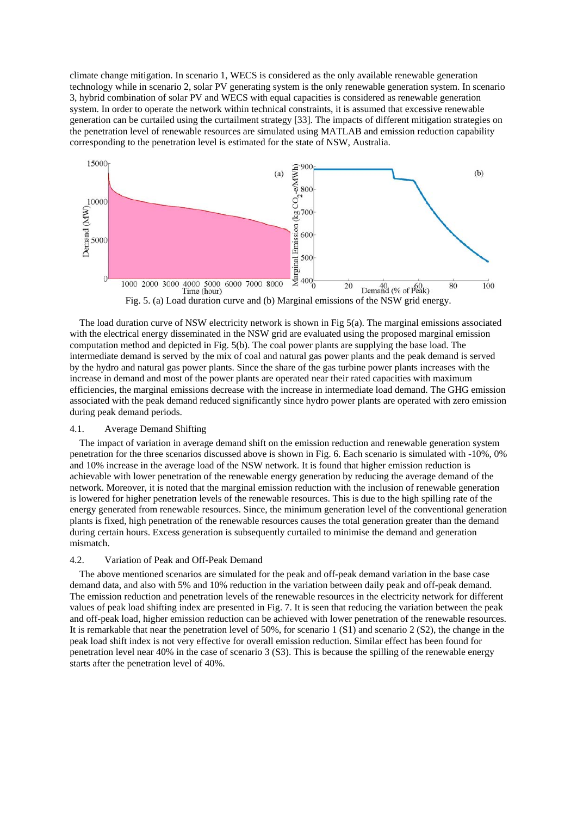climate change mitigation. In scenario 1, WECS is considered as the only available renewable generation technology while in scenario 2, solar PV generating system is the only renewable generation system. In scenario 3, hybrid combination of solar PV and WECS with equal capacities is considered as renewable generation system. In order to operate the network within technical constraints, it is assumed that excessive renewable generation can be curtailed using the curtailment strategy [33]. The impacts of different mitigation strategies on the penetration level of renewable resources are simulated using MATLAB and emission reduction capability corresponding to the penetration level is estimated for the state of NSW, Australia.



The load duration curve of NSW electricity network is shown in Fig 5(a). The marginal emissions associated with the electrical energy disseminated in the NSW grid are evaluated using the proposed marginal emission computation method and depicted in Fig. 5(b). The coal power plants are supplying the base load. The intermediate demand is served by the mix of coal and natural gas power plants and the peak demand is served by the hydro and natural gas power plants. Since the share of the gas turbine power plants increases with the increase in demand and most of the power plants are operated near their rated capacities with maximum efficiencies, the marginal emissions decrease with the increase in intermediate load demand. The GHG emission associated with the peak demand reduced significantly since hydro power plants are operated with zero emission during peak demand periods.

#### 4.1. Average Demand Shifting

The impact of variation in average demand shift on the emission reduction and renewable generation system penetration for the three scenarios discussed above is shown in Fig. 6. Each scenario is simulated with -10%, 0% and 10% increase in the average load of the NSW network. It is found that higher emission reduction is achievable with lower penetration of the renewable energy generation by reducing the average demand of the network. Moreover, it is noted that the marginal emission reduction with the inclusion of renewable generation is lowered for higher penetration levels of the renewable resources. This is due to the high spilling rate of the energy generated from renewable resources. Since, the minimum generation level of the conventional generation plants is fixed, high penetration of the renewable resources causes the total generation greater than the demand during certain hours. Excess generation is subsequently curtailed to minimise the demand and generation mismatch.

#### 4.2. Variation of Peak and Off-Peak Demand

The above mentioned scenarios are simulated for the peak and off-peak demand variation in the base case demand data, and also with 5% and 10% reduction in the variation between daily peak and off-peak demand. The emission reduction and penetration levels of the renewable resources in the electricity network for different values of peak load shifting index are presented in Fig. 7. It is seen that reducing the variation between the peak and off-peak load, higher emission reduction can be achieved with lower penetration of the renewable resources. It is remarkable that near the penetration level of 50%, for scenario 1 (S1) and scenario 2 (S2), the change in the peak load shift index is not very effective for overall emission reduction. Similar effect has been found for penetration level near 40% in the case of scenario 3 (S3). This is because the spilling of the renewable energy starts after the penetration level of 40%.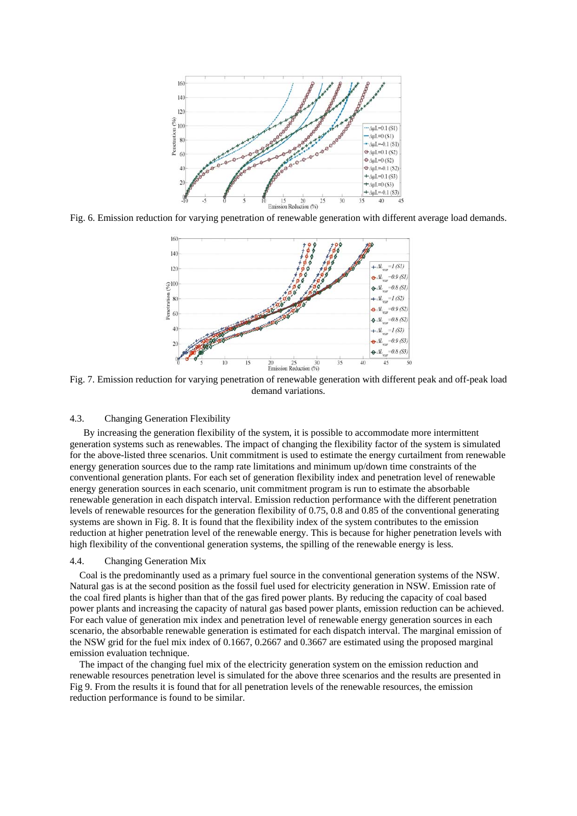

Fig. 6. Emission reduction for varying penetration of renewable generation with different average load demands.



Fig. 7. Emission reduction for varying penetration of renewable generation with different peak and off-peak load demand variations.

## 4.3. Changing Generation Flexibility

By increasing the generation flexibility of the system, it is possible to accommodate more intermittent generation systems such as renewables. The impact of changing the flexibility factor of the system is simulated for the above-listed three scenarios. Unit commitment is used to estimate the energy curtailment from renewable energy generation sources due to the ramp rate limitations and minimum up/down time constraints of the conventional generation plants. For each set of generation flexibility index and penetration level of renewable energy generation sources in each scenario, unit commitment program is run to estimate the absorbable renewable generation in each dispatch interval. Emission reduction performance with the different penetration levels of renewable resources for the generation flexibility of 0.75, 0.8 and 0.85 of the conventional generating systems are shown in Fig. 8. It is found that the flexibility index of the system contributes to the emission reduction at higher penetration level of the renewable energy. This is because for higher penetration levels with high flexibility of the conventional generation systems, the spilling of the renewable energy is less.

#### 4.4. Changing Generation Mix

Coal is the predominantly used as a primary fuel source in the conventional generation systems of the NSW. Natural gas is at the second position as the fossil fuel used for electricity generation in NSW. Emission rate of the coal fired plants is higher than that of the gas fired power plants. By reducing the capacity of coal based power plants and increasing the capacity of natural gas based power plants, emission reduction can be achieved. For each value of generation mix index and penetration level of renewable energy generation sources in each scenario, the absorbable renewable generation is estimated for each dispatch interval. The marginal emission of the NSW grid for the fuel mix index of 0.1667, 0.2667 and 0.3667 are estimated using the proposed marginal emission evaluation technique.

The impact of the changing fuel mix of the electricity generation system on the emission reduction and renewable resources penetration level is simulated for the above three scenarios and the results are presented in Fig 9. From the results it is found that for all penetration levels of the renewable resources, the emission reduction performance is found to be similar.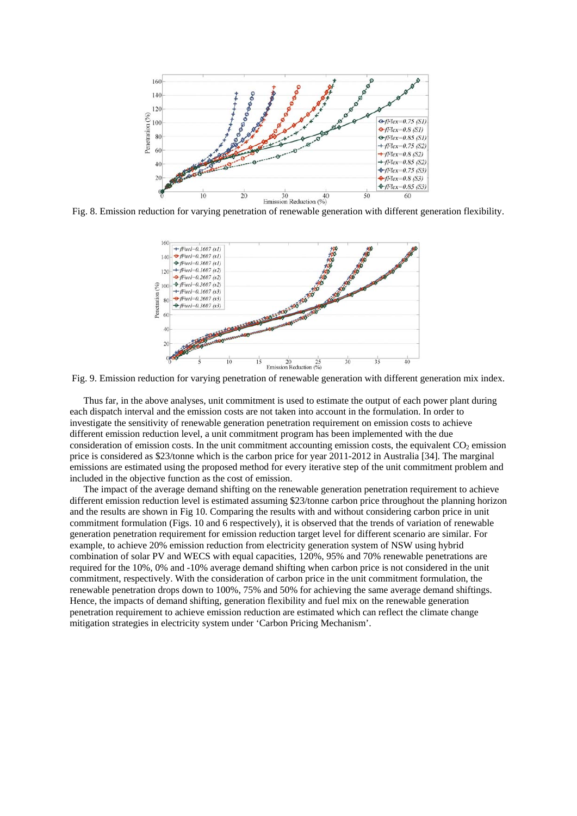

Fig. 8. Emission reduction for varying penetration of renewable generation with different generation flexibility.



Fig. 9. Emission reduction for varying penetration of renewable generation with different generation mix index.

Thus far, in the above analyses, unit commitment is used to estimate the output of each power plant during each dispatch interval and the emission costs are not taken into account in the formulation. In order to investigate the sensitivity of renewable generation penetration requirement on emission costs to achieve different emission reduction level, a unit commitment program has been implemented with the due consideration of emission costs. In the unit commitment accounting emission costs, the equivalent  $CO<sub>2</sub>$  emission price is considered as \$23/tonne which is the carbon price for year 2011-2012 in Australia [34]. The marginal emissions are estimated using the proposed method for every iterative step of the unit commitment problem and included in the objective function as the cost of emission.

The impact of the average demand shifting on the renewable generation penetration requirement to achieve different emission reduction level is estimated assuming \$23/tonne carbon price throughout the planning horizon and the results are shown in Fig 10. Comparing the results with and without considering carbon price in unit commitment formulation (Figs. 10 and 6 respectively), it is observed that the trends of variation of renewable generation penetration requirement for emission reduction target level for different scenario are similar. For example, to achieve 20% emission reduction from electricity generation system of NSW using hybrid combination of solar PV and WECS with equal capacities, 120%, 95% and 70% renewable penetrations are required for the 10%, 0% and -10% average demand shifting when carbon price is not considered in the unit commitment, respectively. With the consideration of carbon price in the unit commitment formulation, the renewable penetration drops down to 100%, 75% and 50% for achieving the same average demand shiftings. Hence, the impacts of demand shifting, generation flexibility and fuel mix on the renewable generation penetration requirement to achieve emission reduction are estimated which can reflect the climate change mitigation strategies in electricity system under 'Carbon Pricing Mechanism'.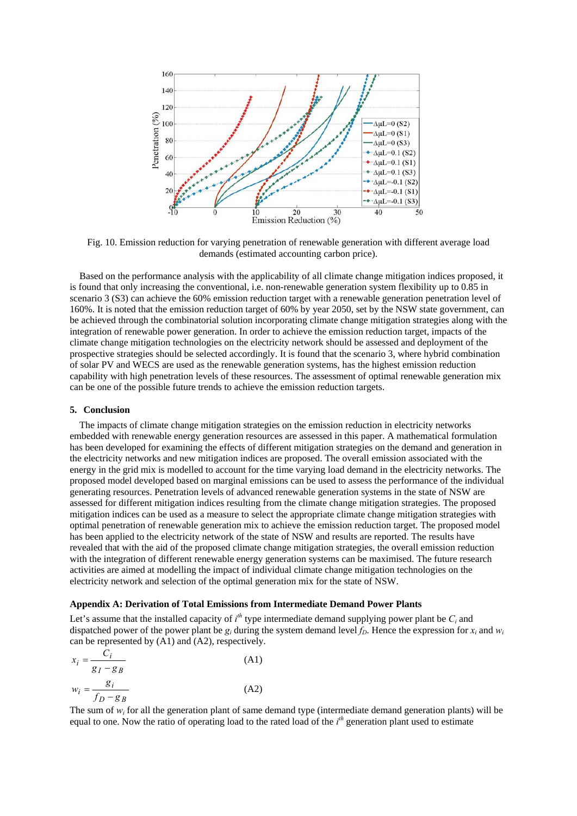

Fig. 10. Emission reduction for varying penetration of renewable generation with different average load demands (estimated accounting carbon price).

Based on the performance analysis with the applicability of all climate change mitigation indices proposed, it is found that only increasing the conventional, i.e. non-renewable generation system flexibility up to 0.85 in scenario 3 (S3) can achieve the 60% emission reduction target with a renewable generation penetration level of 160%. It is noted that the emission reduction target of 60% by year 2050, set by the NSW state government, can be achieved through the combinatorial solution incorporating climate change mitigation strategies along with the integration of renewable power generation. In order to achieve the emission reduction target, impacts of the climate change mitigation technologies on the electricity network should be assessed and deployment of the prospective strategies should be selected accordingly. It is found that the scenario 3, where hybrid combination of solar PV and WECS are used as the renewable generation systems, has the highest emission reduction capability with high penetration levels of these resources. The assessment of optimal renewable generation mix can be one of the possible future trends to achieve the emission reduction targets.

#### **5. Conclusion**

The impacts of climate change mitigation strategies on the emission reduction in electricity networks embedded with renewable energy generation resources are assessed in this paper. A mathematical formulation has been developed for examining the effects of different mitigation strategies on the demand and generation in the electricity networks and new mitigation indices are proposed. The overall emission associated with the energy in the grid mix is modelled to account for the time varying load demand in the electricity networks. The proposed model developed based on marginal emissions can be used to assess the performance of the individual generating resources. Penetration levels of advanced renewable generation systems in the state of NSW are assessed for different mitigation indices resulting from the climate change mitigation strategies. The proposed mitigation indices can be used as a measure to select the appropriate climate change mitigation strategies with optimal penetration of renewable generation mix to achieve the emission reduction target. The proposed model has been applied to the electricity network of the state of NSW and results are reported. The results have revealed that with the aid of the proposed climate change mitigation strategies, the overall emission reduction with the integration of different renewable energy generation systems can be maximised. The future research activities are aimed at modelling the impact of individual climate change mitigation technologies on the electricity network and selection of the optimal generation mix for the state of NSW.

## **Appendix A: Derivation of Total Emissions from Intermediate Demand Power Plants**

Let's assume that the installed capacity of  $i<sup>th</sup>$  type intermediate demand supplying power plant be  $C<sub>i</sub>$  and dispatched power of the power plant be  $g_i$  during the system demand level  $f_p$ . Hence the expression for  $x_i$  and  $w_i$ can be represented by (A1) and (A2), respectively.

$$
x_i = \frac{C_i}{g_I - g_B}
$$
(A1)  

$$
w_i = \frac{g_i}{f_D - g_B}
$$
(A2)

The sum of  $w_i$  for all the generation plant of same demand type (intermediate demand generation plants) will be equal to one. Now the ratio of operating load to the rated load of the *i*<sup>th</sup> generation plant used to estimate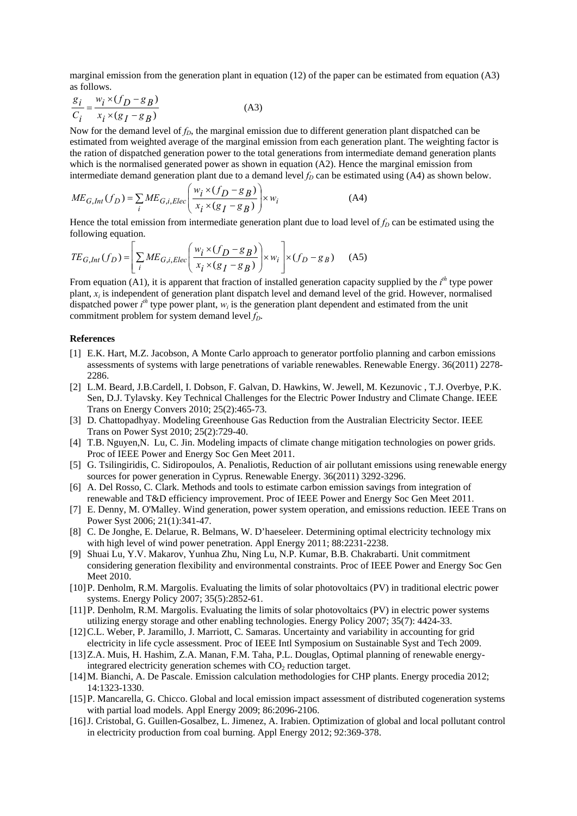marginal emission from the generation plant in equation (12) of the paper can be estimated from equation (A3) as follows.

$$
\frac{g_i}{C_i} = \frac{w_i \times (f_D - g_B)}{x_i \times (g_I - g_B)}\tag{A3}
$$

Now for the demand level of  $f<sub>D</sub>$ , the marginal emission due to different generation plant dispatched can be estimated from weighted average of the marginal emission from each generation plant. The weighting factor is the ration of dispatched generation power to the total generations from intermediate demand generation plants which is the normalised generated power as shown in equation (A2). Hence the marginal emission from intermediate demand generation plant due to a demand level  $f<sub>D</sub>$  can be estimated using (A4) as shown below.

$$
ME_{G,Int}(f_D) = \sum_{i} ME_{G,i,Elec} \left( \frac{w_i \times (f_D - g_B)}{x_i \times (g_I - g_B)} \right) \times w_i
$$
 (A4)

Hence the total emission from intermediate generation plant due to load level of  $f<sub>D</sub>$  can be estimated using the following equation.

$$
TE_{G,Int}(f_D) = \left[\sum_{i} ME_{G,i,Elec}\left(\frac{w_i \times (f_D - g_B)}{x_i \times (g_I - g_B)}\right) \times w_i\right] \times (f_D - g_B)
$$
 (A5)

From equation (A1), it is apparent that fraction of installed generation capacity supplied by the *i*<sup>th</sup> type power plant, *xi* is independent of generation plant dispatch level and demand level of the grid. However, normalised dispatched power  $i^h$  type power plant,  $w_i$  is the generation plant dependent and estimated from the unit commitment problem for system demand level  $f<sub>D</sub>$ .

#### **References**

- [1] E.K. Hart, M.Z. Jacobson, A Monte Carlo approach to generator portfolio planning and carbon emissions assessments of systems with large penetrations of variable renewables. Renewable Energy. 36(2011) 2278- 2286.
- [2] L.M. Beard, J.B.Cardell, I. Dobson, F. Galvan, D. Hawkins, W. Jewell, M. Kezunovic , T.J. Overbye, P.K. Sen, D.J. Tylavsky. Key Technical Challenges for the Electric Power Industry and Climate Change. IEEE Trans on Energy Convers 2010; 25(2):465-73.
- [3] D. Chattopadhyay. Modeling Greenhouse Gas Reduction from the Australian Electricity Sector. IEEE Trans on Power Syst 2010; 25(2):729-40.
- [4] T.B. Nguyen,N. Lu, C. Jin. Modeling impacts of climate change mitigation technologies on power grids. Proc of IEEE Power and Energy Soc Gen Meet 2011.
- [5] G. Tsilingiridis, C. Sidiropoulos, A. Penaliotis, Reduction of air pollutant emissions using renewable energy sources for power generation in Cyprus. Renewable Energy. 36(2011) 3292-3296.
- [6] A. Del Rosso, C. Clark. Methods and tools to estimate carbon emission savings from integration of renewable and T&D efficiency improvement. Proc of IEEE Power and Energy Soc Gen Meet 2011.
- [7] E. Denny, M. O'Malley. Wind generation, power system operation, and emissions reduction. IEEE Trans on Power Syst 2006; 21(1):341-47.
- [8] C. De Jonghe, E. Delarue, R. Belmans, W. D'haeseleer. Determining optimal electricity technology mix with high level of wind power penetration. Appl Energy 2011; 88:2231-2238.
- [9] Shuai Lu, Y.V. Makarov, Yunhua Zhu, Ning Lu, N.P. Kumar, B.B. Chakrabarti. Unit commitment considering generation flexibility and environmental constraints. Proc of IEEE Power and Energy Soc Gen Meet 2010.
- [10]P. Denholm, R.M. Margolis. Evaluating the limits of solar photovoltaics (PV) in traditional electric power systems. Energy Policy 2007; 35(5):2852-61.
- [11]P. Denholm, R.M. Margolis. Evaluating the limits of solar photovoltaics (PV) in electric power systems utilizing energy storage and other enabling technologies. Energy Policy 2007; 35(7): 4424-33.
- [12] C.L. Weber, P. Jaramillo, J. Marriott, C. Samaras. Uncertainty and variability in accounting for grid electricity in life cycle assessment. Proc of IEEE Intl Symposium on Sustainable Syst and Tech 2009.
- [13]Z.A. Muis, H. Hashim, Z.A. Manan, F.M. Taha, P.L. Douglas, Optimal planning of renewable energyintegrared electricity generation schemes with  $CO<sub>2</sub>$  reduction target.
- [14]M. Bianchi, A. De Pascale. Emission calculation methodologies for CHP plants. Energy procedia 2012; 14:1323-1330.
- [15]P. Mancarella, G. Chicco. Global and local emission impact assessment of distributed cogeneration systems with partial load models. Appl Energy 2009; 86:2096-2106.
- [16]J. Cristobal, G. Guillen-Gosalbez, L. Jimenez, A. Irabien. Optimization of global and local pollutant control in electricity production from coal burning. Appl Energy 2012; 92:369-378.